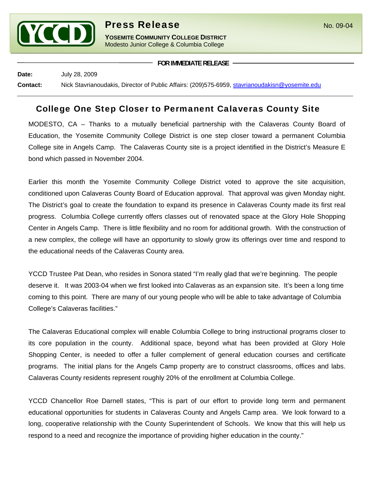

**YOSEMITE COMMUNITY COLLEGE DISTRICT** Modesto Junior College & Columbia College

**FOR IMMEDIATE RELEASE**

**Date:** July 28, 2009 **Contact:** Nick Stavrianoudakis, Director of Public Affairs: (209)575-6959, stavrianoudakisn@yosemite.edu

## College One Step Closer to Permanent Calaveras County Site

MODESTO, CA – Thanks to a mutually beneficial partnership with the Calaveras County Board of Education, the Yosemite Community College District is one step closer toward a permanent Columbia College site in Angels Camp. The Calaveras County site is a project identified in the District's Measure E bond which passed in November 2004.

Earlier this month the Yosemite Community College District voted to approve the site acquisition, conditioned upon Calaveras County Board of Education approval. That approval was given Monday night. The District's goal to create the foundation to expand its presence in Calaveras County made its first real progress. Columbia College currently offers classes out of renovated space at the Glory Hole Shopping Center in Angels Camp. There is little flexibility and no room for additional growth. With the construction of a new complex, the college will have an opportunity to slowly grow its offerings over time and respond to the educational needs of the Calaveras County area.

YCCD Trustee Pat Dean, who resides in Sonora stated "I'm really glad that we're beginning. The people deserve it. It was 2003-04 when we first looked into Calaveras as an expansion site. It's been a long time coming to this point. There are many of our young people who will be able to take advantage of Columbia College's Calaveras facilities."

The Calaveras Educational complex will enable Columbia College to bring instructional programs closer to its core population in the county. Additional space, beyond what has been provided at Glory Hole Shopping Center, is needed to offer a fuller complement of general education courses and certificate programs. The initial plans for the Angels Camp property are to construct classrooms, offices and labs. Calaveras County residents represent roughly 20% of the enrollment at Columbia College.

YCCD Chancellor Roe Darnell states, "This is part of our effort to provide long term and permanent educational opportunities for students in Calaveras County and Angels Camp area. We look forward to a long, cooperative relationship with the County Superintendent of Schools. We know that this will help us respond to a need and recognize the importance of providing higher education in the county."